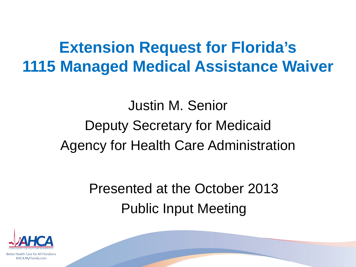## **Extension Request for Florida's 1115 Managed Medical Assistance Waiver**

# Justin M. Senior Deputy Secretary for Medicaid Agency for Health Care Administration

Presented at the October 2013 Public Input Meeting



Better Health Care for All Floridians AHCA.MyFlorida.com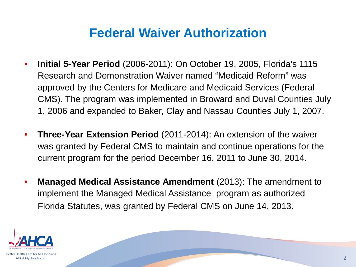#### **Federal Waiver Authorization**

- **Initial 5-Year Period** (2006-2011): On October 19, 2005, Florida's 1115 Research and Demonstration Waiver named "Medicaid Reform" was approved by the Centers for Medicare and Medicaid Services (Federal CMS). The program was implemented in Broward and Duval Counties July 1, 2006 and expanded to Baker, Clay and Nassau Counties July 1, 2007.
- **Three-Year Extension Period** (2011-2014): An extension of the waiver was granted by Federal CMS to maintain and continue operations for the current program for the period December 16, 2011 to June 30, 2014.
- **Managed Medical Assistance Amendment** (2013): The amendment to implement the Managed Medical Assistance program as authorized Florida Statutes, was granted by Federal CMS on June 14, 2013.

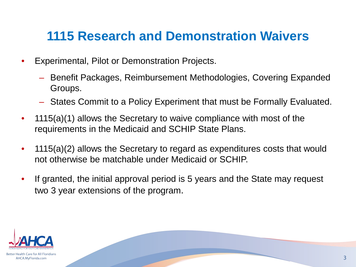#### **1115 Research and Demonstration Waivers**

- Experimental, Pilot or Demonstration Projects.
	- Benefit Packages, Reimbursement Methodologies, Covering Expanded Groups.
	- States Commit to a Policy Experiment that must be Formally Evaluated.
- 1115(a)(1) allows the Secretary to waive compliance with most of the requirements in the Medicaid and SCHIP State Plans.
- 1115(a)(2) allows the Secretary to regard as expenditures costs that would not otherwise be matchable under Medicaid or SCHIP.
- If granted, the initial approval period is 5 years and the State may request two 3 year extensions of the program.

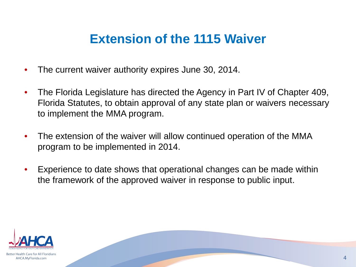#### **Extension of the 1115 Waiver**

- The current waiver authority expires June 30, 2014.
- The Florida Legislature has directed the Agency in Part IV of Chapter 409, Florida Statutes, to obtain approval of any state plan or waivers necessary to implement the MMA program.
- The extension of the waiver will allow continued operation of the MMA program to be implemented in 2014.
- Experience to date shows that operational changes can be made within the framework of the approved waiver in response to public input.

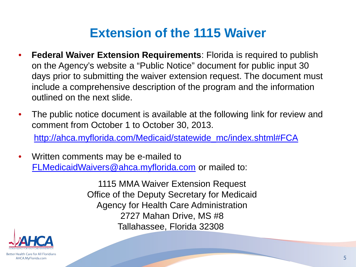#### **Extension of the 1115 Waiver**

- **Federal Waiver Extension Requirements**: Florida is required to publish on the Agency's website a "Public Notice" document for public input 30 days prior to submitting the waiver extension request. The document must include a comprehensive description of the program and the information outlined on the next slide.
- The public notice document is available at the following link for review and comment from October 1 to October 30, 2013.

[http://ahca.myflorida.com/Medicaid/statewide\\_mc/index.shtml#FCA](http://ahca.myflorida.com/Medicaid/statewide_mc/index.shtml#FCA)

• Written comments may be e-mailed to [FLMedicaidWaivers@ahca.myflorida.com](mailto:FLMedicaidWaivers@ahca.myflorida.com) or mailed to:

> 1115 MMA Waiver Extension Request Office of the Deputy Secretary for Medicaid Agency for Health Care Administration 2727 Mahan Drive, MS #8 Tallahassee, Florida 32308

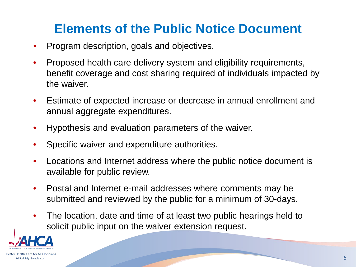#### **Elements of the Public Notice Document**

- Program description, goals and objectives.
- Proposed health care delivery system and eligibility requirements, benefit coverage and cost sharing required of individuals impacted by the waiver.
- Estimate of expected increase or decrease in annual enrollment and annual aggregate expenditures.
- Hypothesis and evaluation parameters of the waiver.
- Specific waiver and expenditure authorities.
- Locations and Internet address where the public notice document is available for public review.
- Postal and Internet e-mail addresses where comments may be submitted and reviewed by the public for a minimum of 30-days.
- The location, date and time of at least two public hearings held to solicit public input on the waiver extension request.

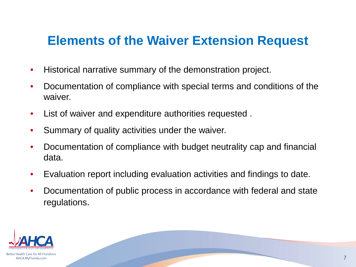#### **Elements of the Waiver Extension Request**

- Historical narrative summary of the demonstration project.
- Documentation of compliance with special terms and conditions of the waiver.
- List of waiver and expenditure authorities requested .
- Summary of quality activities under the waiver.
- Documentation of compliance with budget neutrality cap and financial data.
- Evaluation report including evaluation activities and findings to date.
- Documentation of public process in accordance with federal and state regulations.

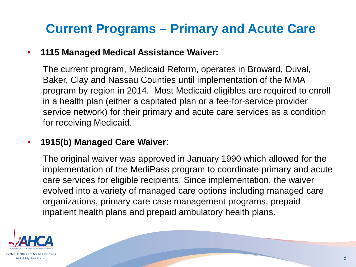### **Current Programs – Primary and Acute Care**

#### • **1115 Managed Medical Assistance Waiver:**

The current program, Medicaid Reform, operates in Broward, Duval, Baker, Clay and Nassau Counties until implementation of the MMA program by region in 2014. Most Medicaid eligibles are required to enroll in a health plan (either a capitated plan or a fee-for-service provider service network) for their primary and acute care services as a condition for receiving Medicaid.

#### • **1915(b) Managed Care Waiver**:

The original waiver was approved in January 1990 which allowed for the implementation of the MediPass program to coordinate primary and acute care services for eligible recipients. Since implementation, the waiver evolved into a variety of managed care options including managed care organizations, primary care case management programs, prepaid inpatient health plans and prepaid ambulatory health plans.

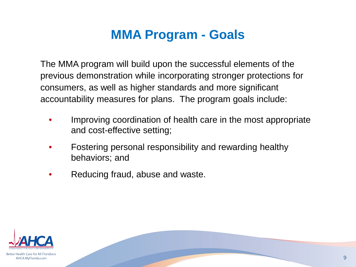#### **MMA Program - Goals**

The MMA program will build upon the successful elements of the previous demonstration while incorporating stronger protections for consumers, as well as higher standards and more significant accountability measures for plans. The program goals include:

- Improving coordination of health care in the most appropriate and cost-effective setting;
- Fostering personal responsibility and rewarding healthy behaviors; and
- Reducing fraud, abuse and waste.

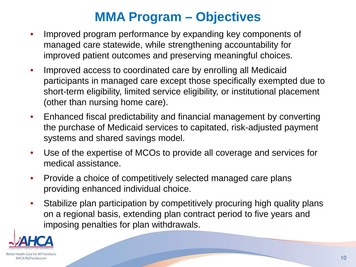#### **MMA Program – Objectives**

- Improved program performance by expanding key components of managed care statewide, while strengthening accountability for improved patient outcomes and preserving meaningful choices.
- Improved access to coordinated care by enrolling all Medicaid participants in managed care except those specifically exempted due to short-term eligibility, limited service eligibility, or institutional placement (other than nursing home care).
- Enhanced fiscal predictability and financial management by converting the purchase of Medicaid services to capitated, risk-adjusted payment systems and shared savings model.
- Use of the expertise of MCOs to provide all coverage and services for medical assistance.
- Provide a choice of competitively selected managed care plans providing enhanced individual choice.
- Stabilize plan participation by competitively procuring high quality plans on a regional basis, extending plan contract period to five years and imposing penalties for plan withdrawals.

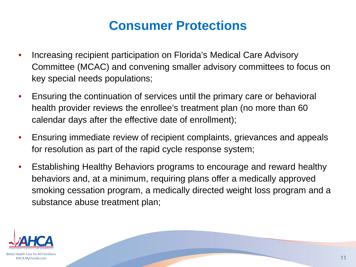#### **Consumer Protections**

- Increasing recipient participation on Florida's Medical Care Advisory Committee (MCAC) and convening smaller advisory committees to focus on key special needs populations;
- Ensuring the continuation of services until the primary care or behavioral health provider reviews the enrollee's treatment plan (no more than 60 calendar days after the effective date of enrollment);
- Ensuring immediate review of recipient complaints, grievances and appeals for resolution as part of the rapid cycle response system;
- Establishing Healthy Behaviors programs to encourage and reward healthy behaviors and, at a minimum, requiring plans offer a medically approved smoking cessation program, a medically directed weight loss program and a substance abuse treatment plan;

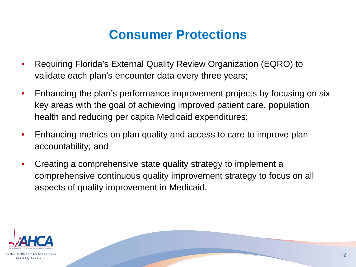#### **Consumer Protections**

- Requiring Florida's External Quality Review Organization (EQRO) to validate each plan's encounter data every three years;
- Enhancing the plan's performance improvement projects by focusing on six key areas with the goal of achieving improved patient care, population health and reducing per capita Medicaid expenditures;
- Enhancing metrics on plan quality and access to care to improve plan accountability; and
- Creating a comprehensive state quality strategy to implement a comprehensive continuous quality improvement strategy to focus on all aspects of quality improvement in Medicaid.

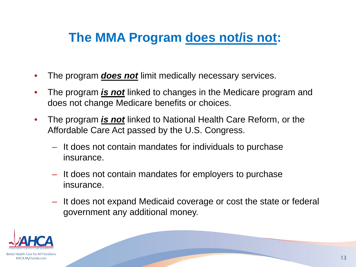#### **The MMA Program does not/is not:**

- The program *does not* limit medically necessary services.
- The program *is not* linked to changes in the Medicare program and does not change Medicare benefits or choices.
- The program *is not* linked to National Health Care Reform, or the Affordable Care Act passed by the U.S. Congress.
	- It does not contain mandates for individuals to purchase insurance.
	- It does not contain mandates for employers to purchase insurance.
	- It does not expand Medicaid coverage or cost the state or federal government any additional money.

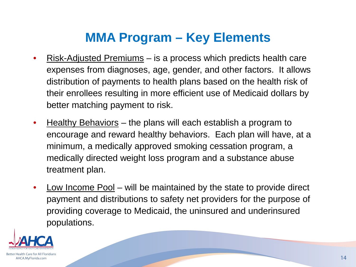#### **MMA Program – Key Elements**

- Risk-Adjusted Premiums is a process which predicts health care expenses from diagnoses, age, gender, and other factors. It allows distribution of payments to health plans based on the health risk of their enrollees resulting in more efficient use of Medicaid dollars by better matching payment to risk.
- Healthy Behaviors the plans will each establish a program to encourage and reward healthy behaviors. Each plan will have, at a minimum, a medically approved smoking cessation program, a medically directed weight loss program and a substance abuse treatment plan.
- Low Income Pool will be maintained by the state to provide direct payment and distributions to safety net providers for the purpose of providing coverage to Medicaid, the uninsured and underinsured populations.

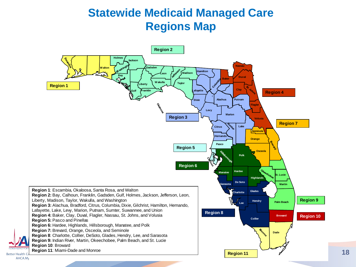#### **Statewide Medicaid Managed Care Regions Map**



AHCA.My

**Better Health**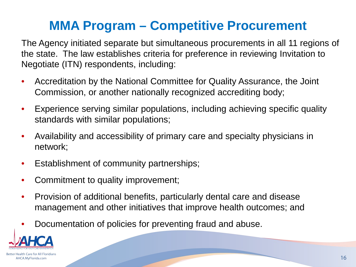### **MMA Program – Competitive Procurement**

The Agency initiated separate but simultaneous procurements in all 11 regions of the state. The law establishes criteria for preference in reviewing Invitation to Negotiate (ITN) respondents, including:

- Accreditation by the National Committee for Quality Assurance, the Joint Commission, or another nationally recognized accrediting body;
- Experience serving similar populations, including achieving specific quality standards with similar populations;
- Availability and accessibility of primary care and specialty physicians in network;
- Establishment of community partnerships;
- Commitment to quality improvement;
- Provision of additional benefits, particularly dental care and disease management and other initiatives that improve health outcomes; and
- Documentation of policies for preventing fraud and abuse.

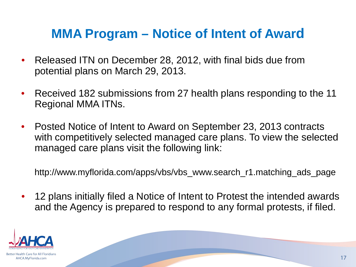#### **MMA Program – Notice of Intent of Award**

- Released ITN on December 28, 2012, with final bids due from potential plans on March 29, 2013.
- Received 182 submissions from 27 health plans responding to the 11 Regional MMA ITNs.
- Posted Notice of Intent to Award on September 23, 2013 contracts with competitively selected managed care plans. To view the selected managed care plans visit the following link:

http://www.myflorida.com/apps/vbs/vbs\_www.search\_r1.matching\_ads\_page

• 12 plans initially filed a Notice of Intent to Protest the intended awards and the Agency is prepared to respond to any formal protests, if filed.

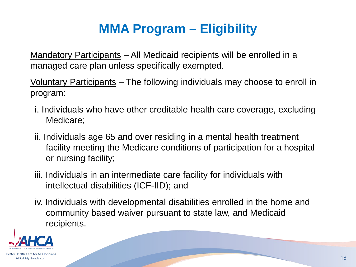### **MMA Program – Eligibility**

Mandatory Participants – All Medicaid recipients will be enrolled in a managed care plan unless specifically exempted.

Voluntary Participants – The following individuals may choose to enroll in program:

- i. Individuals who have other creditable health care coverage, excluding Medicare;
- ii. Individuals age 65 and over residing in a mental health treatment facility meeting the Medicare conditions of participation for a hospital or nursing facility;
- iii. Individuals in an intermediate care facility for individuals with intellectual disabilities (ICF-IID); and
- iv. Individuals with developmental disabilities enrolled in the home and community based waiver pursuant to state law, and Medicaid recipients.

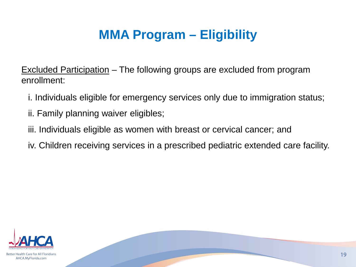### **MMA Program – Eligibility**

Excluded Participation – The following groups are excluded from program enrollment:

- i. Individuals eligible for emergency services only due to immigration status;
- ii. Family planning waiver eligibles;
- iii. Individuals eligible as women with breast or cervical cancer; and
- iv. Children receiving services in a prescribed pediatric extended care facility.

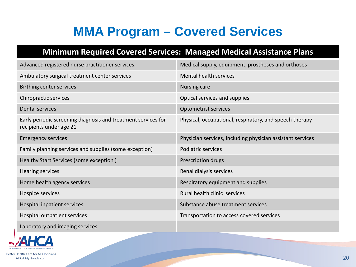### **MMA Program – Covered Services**

#### **Minimum Required Covered Services: Managed Medical Assistance Plans**

| Advanced registered nurse practitioner services.                                         | Medical supply, equipment, prostheses and orthoses         |
|------------------------------------------------------------------------------------------|------------------------------------------------------------|
|                                                                                          |                                                            |
| Ambulatory surgical treatment center services                                            | Mental health services                                     |
| <b>Birthing center services</b>                                                          | Nursing care                                               |
| Chiropractic services                                                                    | Optical services and supplies                              |
| Dental services                                                                          | Optometrist services                                       |
| Early periodic screening diagnosis and treatment services for<br>recipients under age 21 | Physical, occupational, respiratory, and speech therapy    |
| <b>Emergency services</b>                                                                | Physician services, including physician assistant services |
| Family planning services and supplies (some exception)                                   | Podiatric services                                         |
| Healthy Start Services (some exception)                                                  | Prescription drugs                                         |
| <b>Hearing services</b>                                                                  | Renal dialysis services                                    |
| Home health agency services                                                              | Respiratory equipment and supplies                         |
| Hospice services                                                                         | Rural health clinic services                               |
| Hospital inpatient services                                                              | Substance abuse treatment services                         |
| Hospital outpatient services                                                             | Transportation to access covered services                  |
| Laboratory and imaging services                                                          |                                                            |



Better Health Care for All Floridians AHCA.MyFlorida.com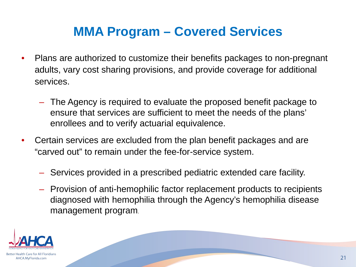#### **MMA Program – Covered Services**

- Plans are authorized to customize their benefits packages to non-pregnant adults, vary cost sharing provisions, and provide coverage for additional services.
	- The Agency is required to evaluate the proposed benefit package to ensure that services are sufficient to meet the needs of the plans' enrollees and to verify actuarial equivalence.
- Certain services are excluded from the plan benefit packages and are "carved out" to remain under the fee-for-service system.
	- Services provided in a prescribed pediatric extended care facility.
	- Provision of anti-hemophilic factor replacement products to recipients diagnosed with hemophilia through the Agency's hemophilia disease management program.

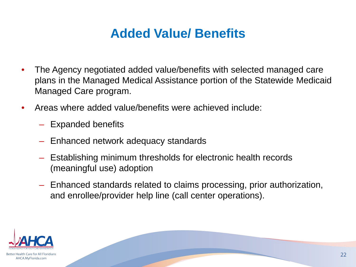#### **Added Value/ Benefits**

- The Agency negotiated added value/benefits with selected managed care plans in the Managed Medical Assistance portion of the Statewide Medicaid Managed Care program.
- Areas where added value/benefits were achieved include:
	- Expanded benefits
	- Enhanced network adequacy standards
	- Establishing minimum thresholds for electronic health records (meaningful use) adoption
	- Enhanced standards related to claims processing, prior authorization, and enrollee/provider help line (call center operations).

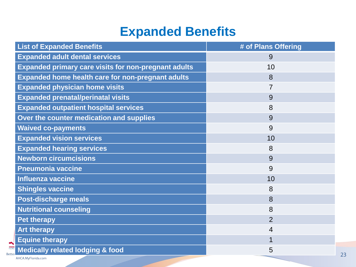#### **Expanded Benefits**

| # of Plans Offering |
|---------------------|
| 9                   |
| 10                  |
| 8                   |
|                     |
| 9                   |
| 8                   |
| 9                   |
| 9                   |
| 10                  |
| 8                   |
| 9                   |
| 9                   |
| 10                  |
| 8                   |
| 8                   |
| 8                   |
| $\overline{2}$      |
| 4                   |
| 1                   |
| 5                   |
|                     |

AHCA.MyFlorida.com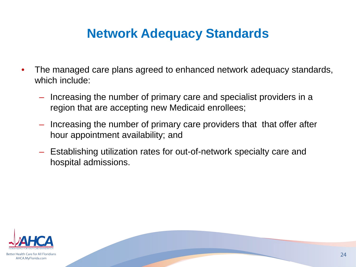#### **Network Adequacy Standards**

- The managed care plans agreed to enhanced network adequacy standards, which include:
	- Increasing the number of primary care and specialist providers in a region that are accepting new Medicaid enrollees;
	- Increasing the number of primary care providers that that offer after hour appointment availability; and
	- Establishing utilization rates for out-of-network specialty care and hospital admissions.

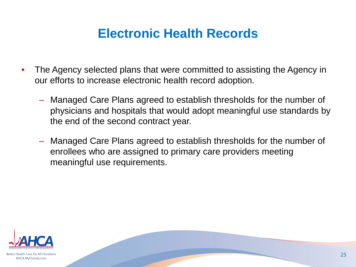#### **Electronic Health Records**

- The Agency selected plans that were committed to assisting the Agency in our efforts to increase electronic health record adoption.
	- Managed Care Plans agreed to establish thresholds for the number of physicians and hospitals that would adopt meaningful use standards by the end of the second contract year.
	- Managed Care Plans agreed to establish thresholds for the number of enrollees who are assigned to primary care providers meeting meaningful use requirements.

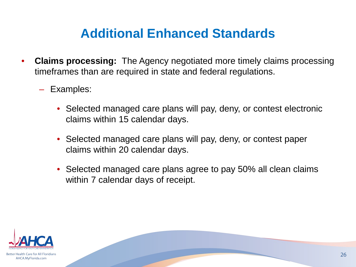#### **Additional Enhanced Standards**

- **Claims processing:** The Agency negotiated more timely claims processing timeframes than are required in state and federal regulations.
	- Examples:
		- Selected managed care plans will pay, deny, or contest electronic claims within 15 calendar days.
		- Selected managed care plans will pay, deny, or contest paper claims within 20 calendar days.
		- Selected managed care plans agree to pay 50% all clean claims within 7 calendar days of receipt.

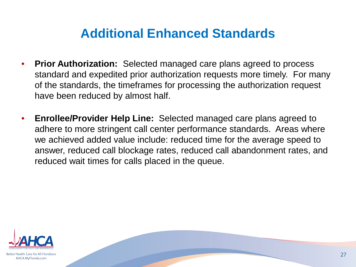#### **Additional Enhanced Standards**

- **Prior Authorization:** Selected managed care plans agreed to process standard and expedited prior authorization requests more timely. For many of the standards, the timeframes for processing the authorization request have been reduced by almost half.
- **Enrollee/Provider Help Line:** Selected managed care plans agreed to adhere to more stringent call center performance standards. Areas where we achieved added value include: reduced time for the average speed to answer, reduced call blockage rates, reduced call abandonment rates, and reduced wait times for calls placed in the queue.



Better Health Care for All Floridians AHCA.MyFlorida.com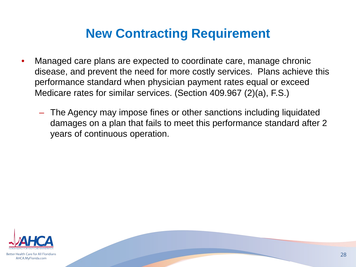#### **New Contracting Requirement**

- Managed care plans are expected to coordinate care, manage chronic disease, and prevent the need for more costly services. Plans achieve this performance standard when physician payment rates equal or exceed Medicare rates for similar services. (Section 409.967 (2)(a), F.S.)
	- The Agency may impose fines or other sanctions including liquidated damages on a plan that fails to meet this performance standard after 2 years of continuous operation.

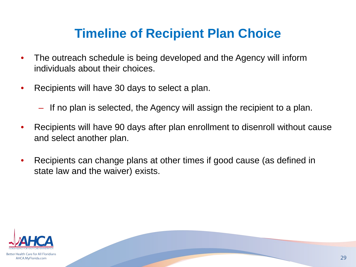#### **Timeline of Recipient Plan Choice**

- The outreach schedule is being developed and the Agency will inform individuals about their choices.
- Recipients will have 30 days to select a plan.
	- If no plan is selected, the Agency will assign the recipient to a plan.
- Recipients will have 90 days after plan enrollment to disenroll without cause and select another plan.
- Recipients can change plans at other times if good cause (as defined in state law and the waiver) exists.

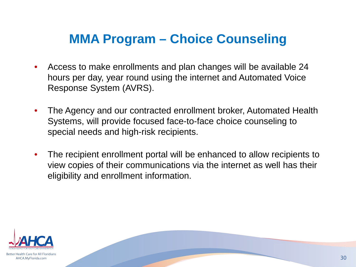#### **MMA Program – Choice Counseling**

- Access to make enrollments and plan changes will be available 24 hours per day, year round using the internet and Automated Voice Response System (AVRS).
- The Agency and our contracted enrollment broker, Automated Health Systems, will provide focused face-to-face choice counseling to special needs and high-risk recipients.
- The recipient enrollment portal will be enhanced to allow recipients to view copies of their communications via the internet as well has their eligibility and enrollment information.



Better Health Care for All Floridians AHCA.MyFlorida.com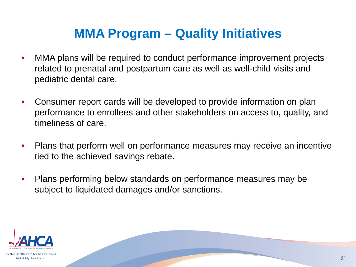#### **MMA Program – Quality Initiatives**

- MMA plans will be required to conduct performance improvement projects related to prenatal and postpartum care as well as well-child visits and pediatric dental care.
- Consumer report cards will be developed to provide information on plan performance to enrollees and other stakeholders on access to, quality, and timeliness of care.
- Plans that perform well on performance measures may receive an incentive tied to the achieved savings rebate.
- Plans performing below standards on performance measures may be subject to liquidated damages and/or sanctions.



AHCA.MyFlorida.com

31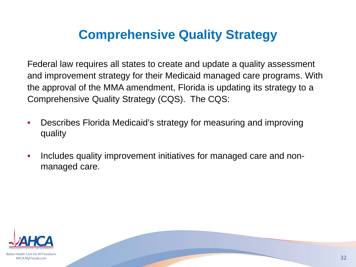#### **Comprehensive Quality Strategy**

Federal law requires all states to create and update a quality assessment and improvement strategy for their Medicaid managed care programs. With the approval of the MMA amendment, Florida is updating its strategy to a Comprehensive Quality Strategy (CQS). The CQS:

- Describes Florida Medicaid's strategy for measuring and improving quality
- Includes quality improvement initiatives for managed care and nonmanaged care.

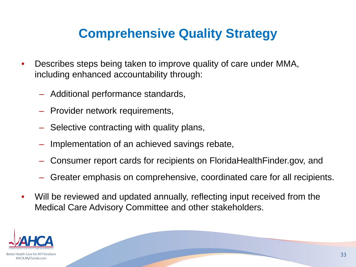#### **Comprehensive Quality Strategy**

- Describes steps being taken to improve quality of care under MMA, including enhanced accountability through:
	- Additional performance standards,
	- Provider network requirements,
	- Selective contracting with quality plans,
	- Implementation of an achieved savings rebate,
	- Consumer report cards for recipients on FloridaHealthFinder.gov, and
	- Greater emphasis on comprehensive, coordinated care for all recipients.
- Will be reviewed and updated annually, reflecting input received from the Medical Care Advisory Committee and other stakeholders.

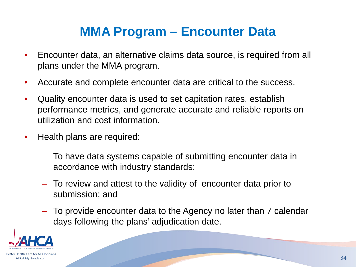#### **MMA Program – Encounter Data**

- Encounter data, an alternative claims data source, is required from all plans under the MMA program.
- Accurate and complete encounter data are critical to the success.
- Quality encounter data is used to set capitation rates, establish performance metrics, and generate accurate and reliable reports on utilization and cost information.
- Health plans are required:
	- To have data systems capable of submitting encounter data in accordance with industry standards;
	- To review and attest to the validity of encounter data prior to submission; and
	- To provide encounter data to the Agency no later than 7 calendar days following the plans' adjudication date.

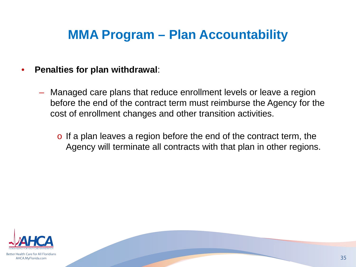#### **MMA Program – Plan Accountability**

#### • **Penalties for plan withdrawal**:

- Managed care plans that reduce enrollment levels or leave a region before the end of the contract term must reimburse the Agency for the cost of enrollment changes and other transition activities.
	- o If a plan leaves a region before the end of the contract term, the Agency will terminate all contracts with that plan in other regions.



Better Health Care for All Floridians AHCA.MyFlorida.com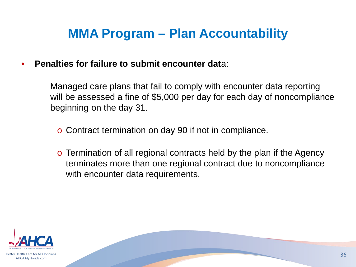#### **MMA Program – Plan Accountability**

- **Penalties for failure to submit encounter dat**a:
	- Managed care plans that fail to comply with encounter data reporting will be assessed a fine of \$5,000 per day for each day of noncompliance beginning on the day 31.
		- o Contract termination on day 90 if not in compliance.
		- o Termination of all regional contracts held by the plan if the Agency terminates more than one regional contract due to noncompliance with encounter data requirements.

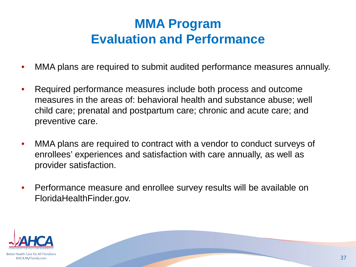#### **MMA Program Evaluation and Performance**

- MMA plans are required to submit audited performance measures annually.
- Required performance measures include both process and outcome measures in the areas of: behavioral health and substance abuse; well child care; prenatal and postpartum care; chronic and acute care; and preventive care.
- MMA plans are required to contract with a vendor to conduct surveys of enrollees' experiences and satisfaction with care annually, as well as provider satisfaction.
- Performance measure and enrollee survey results will be available on FloridaHealthFinder.gov.

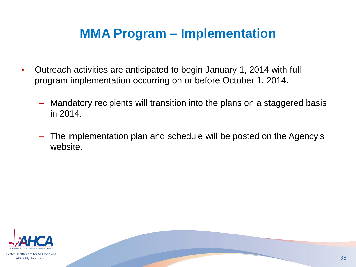#### **MMA Program – Implementation**

- Outreach activities are anticipated to begin January 1, 2014 with full program implementation occurring on or before October 1, 2014.
	- Mandatory recipients will transition into the plans on a staggered basis in 2014.
	- The implementation plan and schedule will be posted on the Agency's website.



Better Health Care for All Floridians AHCA.MyFlorida.com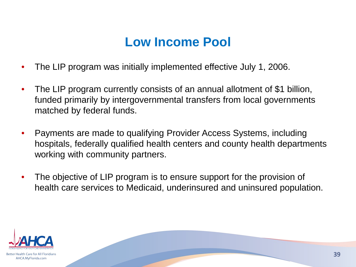#### **Low Income Pool**

- The LIP program was initially implemented effective July 1, 2006.
- The LIP program currently consists of an annual allotment of \$1 billion, funded primarily by intergovernmental transfers from local governments matched by federal funds.
- Payments are made to qualifying Provider Access Systems, including hospitals, federally qualified health centers and county health departments working with community partners.
- The objective of LIP program is to ensure support for the provision of health care services to Medicaid, underinsured and uninsured population.

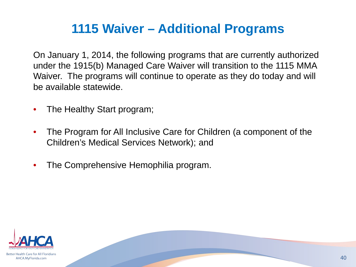#### **1115 Waiver – Additional Programs**

On January 1, 2014, the following programs that are currently authorized under the 1915(b) Managed Care Waiver will transition to the 1115 MMA Waiver. The programs will continue to operate as they do today and will be available statewide.

- The Healthy Start program;
- The Program for All Inclusive Care for Children (a component of the Children's Medical Services Network); and
- The Comprehensive Hemophilia program.

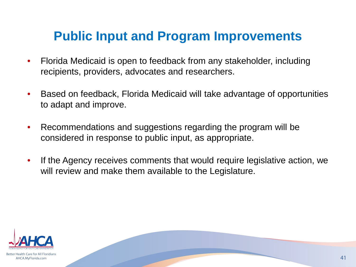#### **Public Input and Program Improvements**

- Florida Medicaid is open to feedback from any stakeholder, including recipients, providers, advocates and researchers.
- Based on feedback, Florida Medicaid will take advantage of opportunities to adapt and improve.
- Recommendations and suggestions regarding the program will be considered in response to public input, as appropriate.
- If the Agency receives comments that would require legislative action, we will review and make them available to the Legislature.

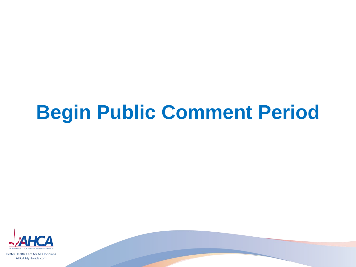# **Begin Public Comment Period**



Better Health Care for All Floridians AHCA.MyFlorida.com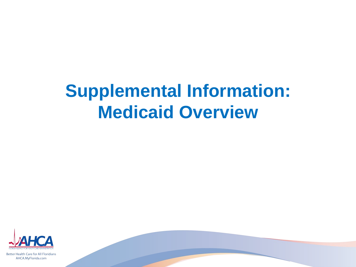# **Supplemental Information: Medicaid Overview**



Better Health Care for All Floridians AHCA.MyFlorida.com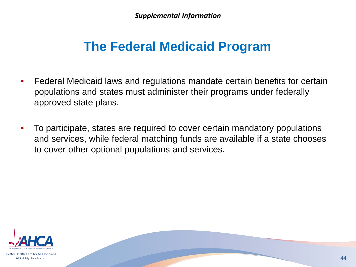*Supplemental Information*

#### **The Federal Medicaid Program**

- Federal Medicaid laws and regulations mandate certain benefits for certain populations and states must administer their programs under federally approved state plans.
- To participate, states are required to cover certain mandatory populations and services, while federal matching funds are available if a state chooses to cover other optional populations and services.

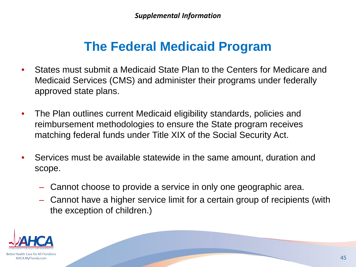#### **The Federal Medicaid Program**

- States must submit a Medicaid State Plan to the Centers for Medicare and Medicaid Services (CMS) and administer their programs under federally approved state plans.
- The Plan outlines current Medicaid eligibility standards, policies and reimbursement methodologies to ensure the State program receives matching federal funds under Title XIX of the Social Security Act.
- Services must be available statewide in the same amount, duration and scope.
	- Cannot choose to provide a service in only one geographic area.
	- Cannot have a higher service limit for a certain group of recipients (with the exception of children.)

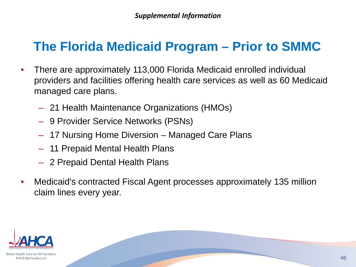#### **The Florida Medicaid Program – Prior to SMMC**

- There are approximately 113,000 Florida Medicaid enrolled individual providers and facilities offering health care services as well as 60 Medicaid managed care plans.
	- 21 Health Maintenance Organizations (HMOs)
	- 9 Provider Service Networks (PSNs)
	- 17 Nursing Home Diversion Managed Care Plans
	- 11 Prepaid Mental Health Plans
	- 2 Prepaid Dental Health Plans
- Medicaid's contracted Fiscal Agent processes approximately 135 million claim lines every year.

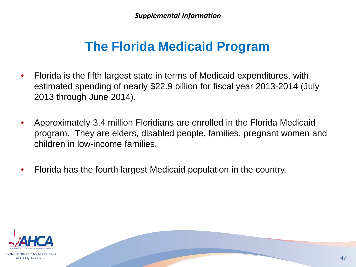#### **The Florida Medicaid Program**

- Florida is the fifth largest state in terms of Medicaid expenditures, with estimated spending of nearly \$22.9 billion for fiscal year 2013-2014 (July 2013 through June 2014).
- Approximately 3.4 million Floridians are enrolled in the Florida Medicaid program. They are elders, disabled people, families, pregnant women and children in low-income families.
- Florida has the fourth largest Medicaid population in the country.

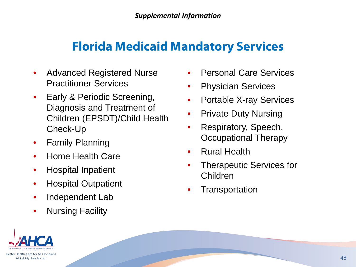#### **Florida Medicaid Mandatory Services**

- Advanced Registered Nurse Practitioner Services
- Early & Periodic Screening, Diagnosis and Treatment of Children (EPSDT)/Child Health Check-Up
- Family Planning
- Home Health Care
- Hospital Inpatient
- Hospital Outpatient
- Independent Lab
- Nursing Facility
- Personal Care Services
- Physician Services
- Portable X-ray Services
- Private Duty Nursing
- Respiratory, Speech, Occupational Therapy
- Rural Health
- Therapeutic Services for Children
- **Transportation**